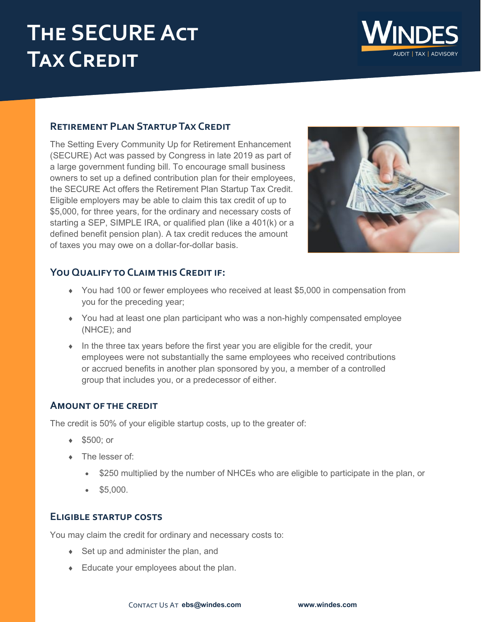# **The SECURE Act Tax Credit**



# **Retirement Plan Startup Tax Credit**

The Setting Every Community Up for Retirement Enhancement (SECURE) Act was passed by Congress in late 2019 as part of a large government funding bill. To encourage small business owners to set up a defined contribution plan for their employees, the SECURE Act offers the Retirement Plan Startup Tax Credit. Eligible employers may be able to claim this tax credit of up to \$5,000, for three years, for the ordinary and necessary costs of starting a SEP, SIMPLE IRA, or qualified plan (like a 401(k) or a defined benefit pension plan). A tax credit reduces the amount of taxes you may owe on a dollar-for-dollar basis.



# **You Qualify to Claim this Credit if:**

- You had 100 or fewer employees who received at least \$5,000 in compensation from you for the preceding year;
- You had at least one plan participant who was a non-highly compensated employee (NHCE); and
- $\bullet$  In the three tax years before the first year you are eligible for the credit, your employees were not substantially the same employees who received contributions or accrued benefits in another plan sponsored by you, a member of a controlled group that includes you, or a predecessor of either.

# **Amount of the credit**

The credit is 50% of your eligible startup costs, up to the greater of:

- ◆ \$500; or
- The lesser of:
	- \$250 multiplied by the number of NHCEs who are eligible to participate in the plan, or
	- \$5,000.

## **Eligible startup costs**

You may claim the credit for ordinary and necessary costs to:

- ◆ Set up and administer the plan, and
- Educate your employees about the plan.

Contact Us At **[ebs@windes.com](mailto:ebs@windes.com) [www.windes.com](http://www.windes.com/)**